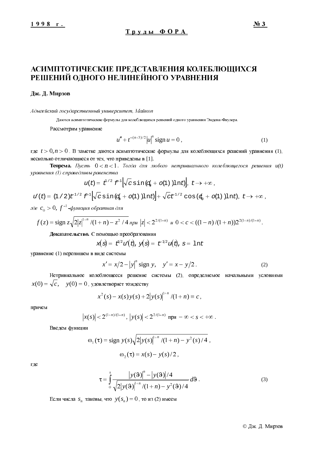# АСИМПТОТИЧЕСКИЕ ПРЕДСТАВЛЕНИЯ КОЛЕБЛЮЩИХСЯ РЕШЕНИЙ ОДНОГО НЕЛИНЕЙНОГО УРАВНЕНИЯ

## Дж. Д. Мирзов

Адыгейский государственный университет, Майкоп

Даются асимптотические формулы для колеблющихся решений одного уравнения Эмдена-Фаулера.

Рассмотрим уравнение

$$
u'' + t^{-(n+3)/2} |u|^{n} \text{ sign } u = 0,
$$
\n(1)

где  $t > 0$ ,  $n > 0$ . В заметке даются асимптотические формулы для колеблющихся решений уравнения (1), несколько отличающиеся от тех, что приведены в [1].

**Теорема.** Пусть  $0 < n < 1$ . Тогда для любого нетривиального колеблющегося решения  $u(t)$ уравнения (1) справедливы равенства

$$
u(t) = t^{1/2} \mathcal{F}^{-1} \Big[ \sqrt{c} \sin(\zeta_0 + o(1)) \ln t \Big], t \to +\infty,
$$

 $u'(t) = (1/2)t^{-1/2} \mathcal{F}^{-1} \sqrt{c} \sin(\zeta + o(1)) \ln t + \sqrt{c} t^{-1/2} \cos(\zeta + o(1)) \ln t$ ,  $t \to +\infty$ ,

где  $c_{_0} > 0$ ,  $f^{-1}$ -функция обратная для

$$
f(z) = \operatorname{sign} z \sqrt{2|z|^{1+n}} \sqrt{(1+n)} - z^2 / 4 \, npu \, |z| < 2^{2/(1-n)} \, u \, 0 < c < ((1-n)/(1+n)) 2^{2(1+n)/(1-n)}.
$$

Доказательство. С помощью преобразования

$$
x(s) = t^{1/2}u'(t), y(s) = t^{-1/2}u(t), s = \ln t
$$

уравнение (1) перепишем в виде системы

$$
x' = x/2 - |y|^{n} \text{ sign } y, \quad y' = x - y/2.
$$
 (2)

Нетривиальное колеблющееся решение системы (2), определяемое начальными условиями  $x(0) = \sqrt{c}$ ,  $y(0) = 0$ , удовлетворяет тождеству

$$
x^{2}(s) - x(s)y(s) + 2|y(s)|^{1+n}/(1+n) \equiv c,
$$

причем

$$
x(s)|<2^{(1+n)/(1-n)}, |y(s)|<2^{2/(1-n)} \text{ m}p\mathbf{u}-\infty
$$

Введем функции

$$
\omega_1(\tau) = \text{sign } y(s) \sqrt{2|y(s)|^{1+n} / (1+n) - y^2(s) / 4} ,
$$
  
 
$$
\omega_2(\tau) = x(s) - y(s) / 2 ,
$$

где

$$
\tau = \int_{0}^{s} \frac{|y(9)|^{n} - |y(9)|/4}{\sqrt{2|y(9)|^{1+n}/(1+n) - y^{2}(9)/4}} d\theta.
$$
 (3)

Если числа  $S_n$  таковы, что  $y(S_n) = 0$ , то из (2) имеем